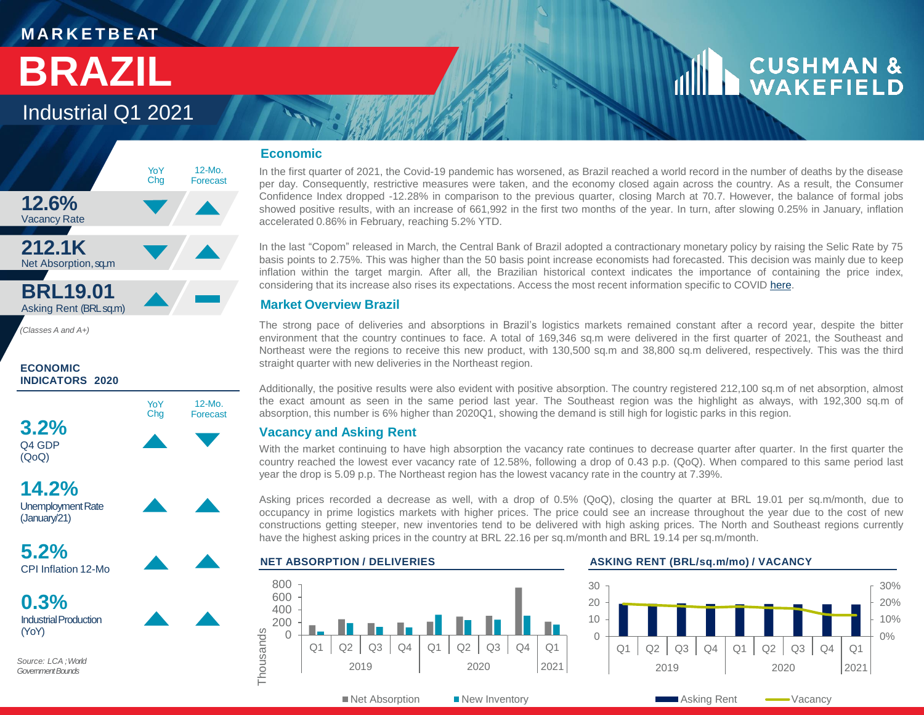### **M A R K E T B E AT**

## **BRAZIL**

## Industrial Q1 2021



*(Classes A and A+)*

#### **ECONOMIC INDICATORS 2020**



(QoQ)



YoY Chg

12-Mo. Forecast

**14.2%** Unemployment Rate (January/21)

**5.2%** CPI Inflation 12-Mo

**0.3%** Industrial Production (YoY)

*Source: LCA ; World Government Bounds*

### **Economic**

In the first quarter of 2021, the Covid-19 pandemic has worsened, as Brazil reached a world record in the number of deaths by the disease per day. Consequently, restrictive measures were taken, and the economy closed again across the country. As a result, the Consumer Confidence Index dropped -12.28% in comparison to the previous quarter, closing March at 70.7. However, the balance of formal jobs showed positive results, with an increase of 661,992 in the first two months of the year. In turn, after slowing 0.25% in January, inflation accelerated 0.86% in February, reaching 5.2% YTD.

In the last "Copom" released in March, the Central Bank of Brazil adopted a contractionary monetary policy by raising the Selic Rate by 75 basis points to 2.75%. This was higher than the 50 basis point increase economists had forecasted. This decision was mainly due to keep inflation within the target margin. After all, the Brazilian historical context indicates the importance of containing the price index, considering that its increase also rises its expectations. Access the most recent information specific to COVID [here](https://www.cushmanwakefield.com/en/insights/covid-19/policy-watch-economic-measures-across-top-global-economies).

### **Market Overview Brazil**

The strong pace of deliveries and absorptions in Brazil's logistics markets remained constant after a record year, despite the bitter environment that the country continues to face. A total of 169,346 sq.m were delivered in the first quarter of 2021, the Southeast and Northeast were the regions to receive this new product, with 130,500 sq.m and 38,800 sq.m delivered, respectively. This was the third straight quarter with new deliveries in the Northeast region.

Additionally, the positive results were also evident with positive absorption. The country registered 212,100 sq.m of net absorption, almost the exact amount as seen in the same period last year. The Southeast region was the highlight as always, with 192,300 sq.m of absorption, this number is 6% higher than 2020Q1, showing the demand is still high for logistic parks in this region.

### **Vacancy and Asking Rent**

With the market continuing to have high absorption the vacancy rate continues to decrease quarter after quarter. In the first quarter the country reached the lowest ever vacancy rate of 12.58%, following a drop of 0.43 p.p. (QoQ). When compared to this same period last year the drop is 5.09 p.p. The Northeast region has the lowest vacancy rate in the country at 7.39%.

Asking prices recorded a decrease as well, with a drop of 0.5% (QoQ), closing the quarter at BRL 19.01 per sq.m/month, due to occupancy in prime logistics markets with higher prices. The price could see an increase throughout the year due to the cost of new constructions getting steeper, new inventories tend to be delivered with high asking prices. The North and Southeast regions currently have the highest asking prices in the country at BRL 22.16 per sq.m/month and BRL 19.14 per sq.m/month.



#### **NET ABSORPTION / DELIVERIES ASKING RENT (BRL/sq.m/mo) / VACANCY**



 $\blacksquare$  Net Absorption  $\blacksquare$  New Inventory

**Asking Rent —**Vacancy

**CUSHMAN &** WAKEFIELD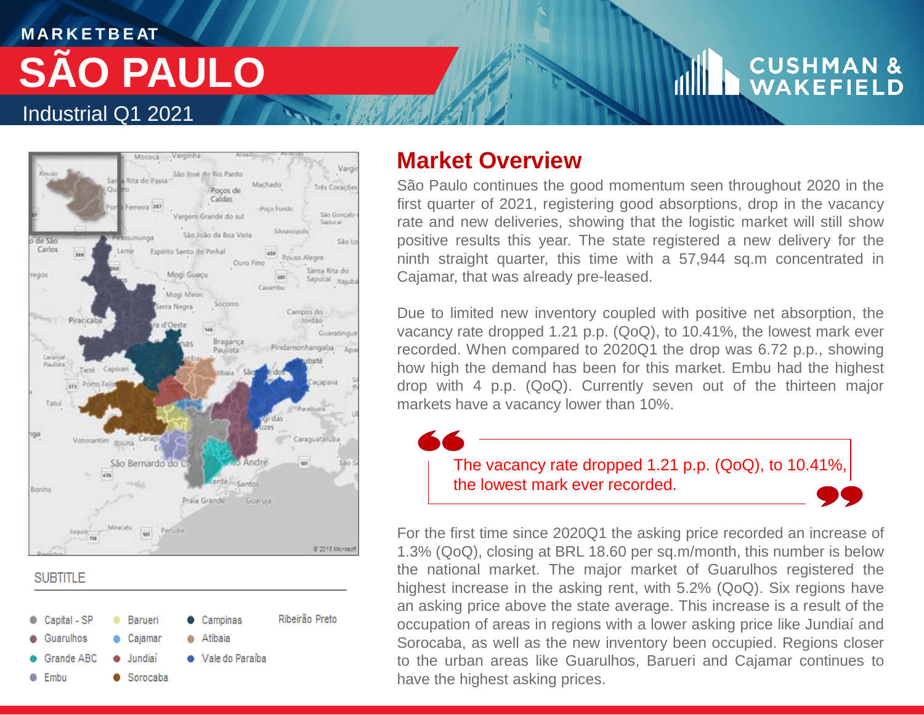## **M A R K E T B E AT** Industrial Q1 2021 **SÃO PAULO**

# **CUSHMAN &**<br>WAKEFIELD



**SUBTITLE** 



## **Market Overview**

São Paulo continues the good momentum seen throughout 2020 in the first quarter of 2021, registering good absorptions, drop in the vacancy rate and new deliveries, showing that the logistic market will still show positive results this year. The state registered a new delivery for the ninth straight quarter, this time with a 57,944 sq.m concentrated in Cajamar, that was already pre-leased.

Due to limited new inventory coupled with positive net absorption, the vacancy rate dropped 1.21 p.p. (QoQ), to 10.41%, the lowest mark ever recorded. When compared to 2020Q1 the drop was 6.72 p.p., showing how high the demand has been for this market. Embu had the highest drop with 4 p.p. (QoQ). Currently seven out of the thirteen major markets have a vacancy lower than 10%.

> The vacancy rate dropped 1.21 p.p. (QoQ), to 10.41%, the lowest mark ever recorded.

For the first time since 2020Q1 the asking price recorded an increase of 1.3% (QoQ), closing at BRL 18.60 per sq.m/month, this number is below the national market. The major market of Guarulhos registered the highest increase in the asking rent, with 5.2% (QoQ). Six regions have an asking price above the state average. This increase is a result of the occupation of areas in regions with a lower asking price like Jundiaí and Sorocaba, as well as the new inventory been occupied. Regions closer to the urban areas like Guarulhos, Barueri and Cajamar continues to have the highest asking prices.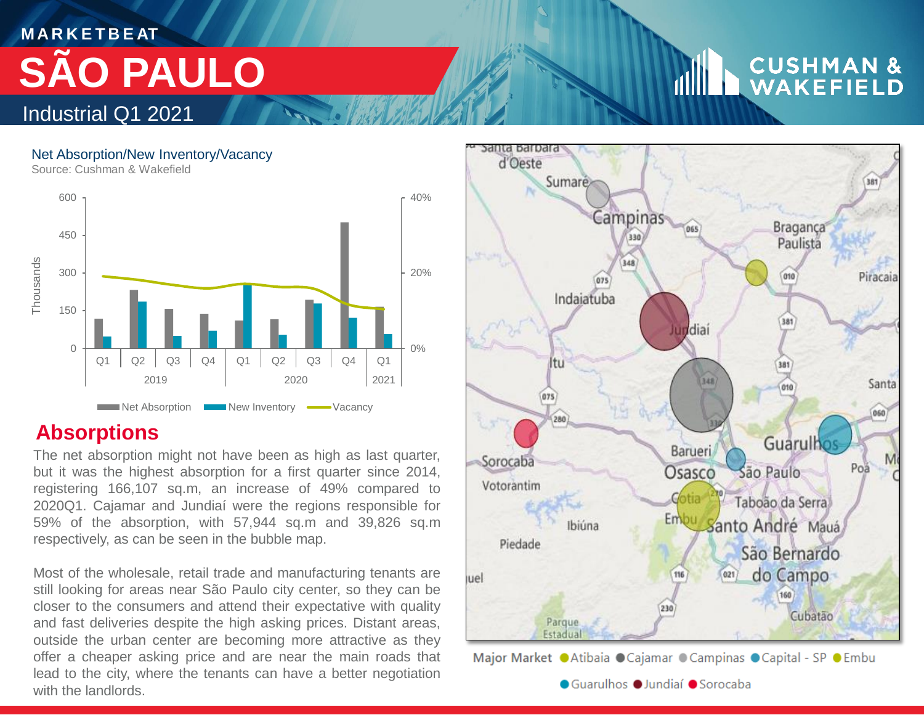## **M A R K E T B E AT SÃO PAULO**

## **CUSHMAN &**<br>WAKEFIELD

### Net Absorption/New Inventory/Vacancy

Source: Cushman & Wakefield

Industrial Q1 2021



## **Absorptions**

The net absorption might not have been as high as last quarter, but it was the highest absorption for a first quarter since 2014, registering 166,107 sq.m, an increase of 49% compared to 2020Q1. Cajamar and Jundiaí were the regions responsible for 59% of the absorption, with 57,944 sq.m and 39,826 sq.m respectively, as can be seen in the bubble map.

Most of the wholesale, retail trade and manufacturing tenants are still looking for areas near São Paulo city center, so they can be closer to the consumers and attend their expectative with quality and fast deliveries despite the high asking prices. Distant areas, outside the urban center are becoming more attractive as they offer a cheaper asking price and are near the main roads that lead to the city, where the tenants can have a better negotiation with the landlords.



Major Market OAtibaia OCajamar OCampinas OCapital - SP OEmbu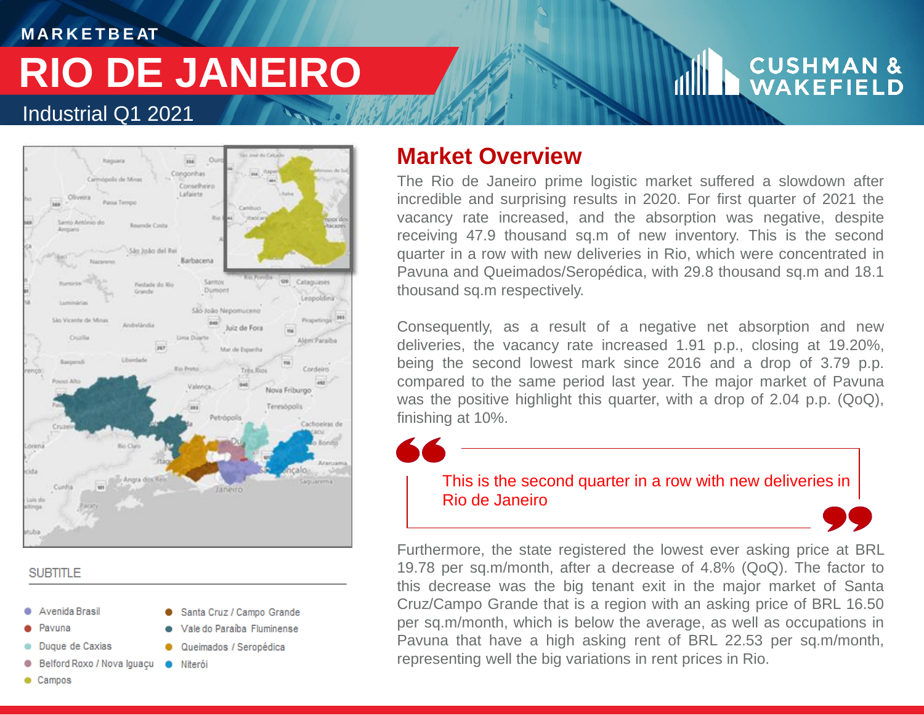## Industrial Q1 2021 **RIO DE JANEIRO**

**M A R K E T B E AT**

# **CUSHMAN &**<br>WAKEFIELD



Santa Cruz / Campo Grande

Vale do Paraíba Fluminense

Queimados / Seropédica

## **SUBTITLE**

- Avenida Brasil
- Pavuna
- Duque de Caxias
- Belford Roxo / Nova Iguaçu · Niterói
- Campos

## **Market Overview**

The Rio de Janeiro prime logistic market suffered a slowdown after incredible and surprising results in 2020. For first quarter of 2021 the vacancy rate increased, and the absorption was negative, despite receiving 47.9 thousand sq.m of new inventory. This is the second quarter in a row with new deliveries in Rio, which were concentrated in Pavuna and Queimados/Seropédica, with 29.8 thousand sq.m and 18.1 thousand sq.m respectively.

Consequently, as a result of a negative net absorption and new deliveries, the vacancy rate increased 1.91 p.p., closing at 19.20%, being the second lowest mark since 2016 and a drop of 3.79 p.p. compared to the same period last year. The major market of Pavuna was the positive highlight this quarter, with a drop of 2.04 p.p. (QoQ), finishing at 10%.

This is the second quarter in a row with new deliveries in Rio de Janeiro

Furthermore, the state registered the lowest ever asking price at BRL 19.78 per sq.m/month, after a decrease of 4.8% (QoQ). The factor to this decrease was the big tenant exit in the major market of Santa Cruz/Campo Grande that is a region with an asking price of BRL 16.50 per sq.m/month, which is below the average, as well as occupations in Pavuna that have a high asking rent of BRL 22.53 per sq.m/month, representing well the big variations in rent prices in Rio.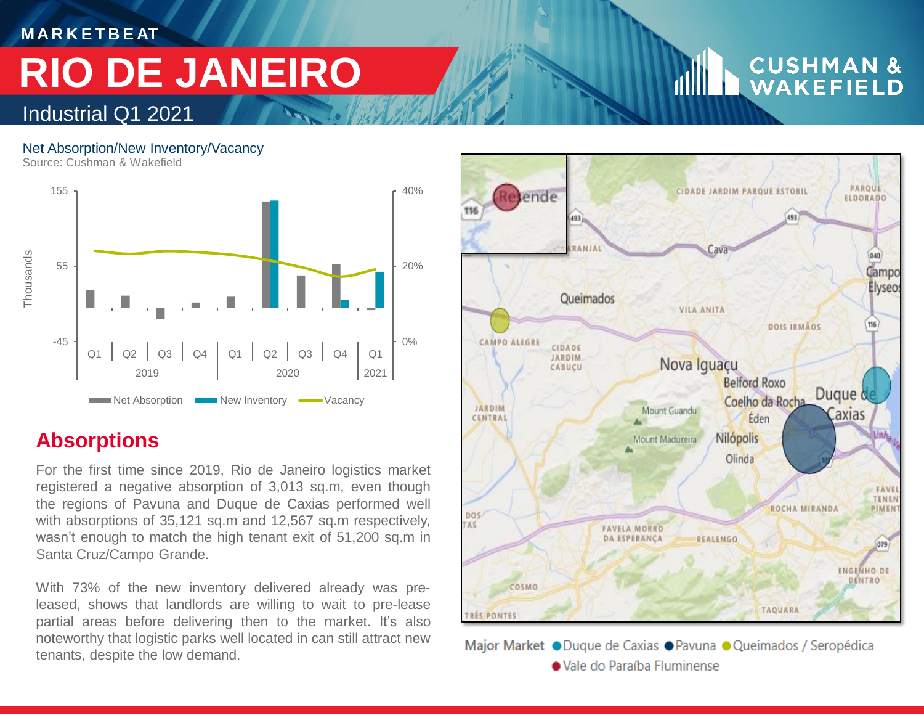**M A R K E T B E AT**

# **RIO DE JANEIRO**

## Industrial Q1 2021

### Net Absorption/New Inventory/Vacancy

Source: Cushman & Wakefield



## **Absorptions**

For the first time since 2019, Rio de Janeiro logistics market registered a negative absorption of 3,013 sq.m, even though the regions of Pavuna and Duque de Caxias performed well with absorptions of 35,121 sq.m and 12,567 sq.m respectively, wasn't enough to match the high tenant exit of 51,200 sq.m in Santa Cruz/Campo Grande.

With 73% of the new inventory delivered already was preleased, shows that landlords are willing to wait to pre-lease partial areas before delivering then to the market. It's also noteworthy that logistic parks well located in can still attract new tenants, despite the low demand.

#### PAROUE CIDADE JARDIM PARQUE ESTORIL esende ELDORADO 493 493 Cava 040 Campo Elyseo: **Oueimados VILA ANITA** 116 DOIS IRMAOS CAMPO ALEGRE CIDADE **JARDIM** Nova Iguaçu CABUCU Belford Roxo Dugue & Coelho da Rocha JARDIM Mount Guandu axias Éden CENTRAL Nilópolis Mount Madureira Olinda FAVI **TENER** ROCHA MIRANDA PIME DOS **FAVELA MORRO DA ESPERANCA** REALENGO 079 **ENGENHO DE** DENTRO COSMO **TAQUARA TRES PONTES**



# **CUSHMAN &**<br>WAKEFIELD